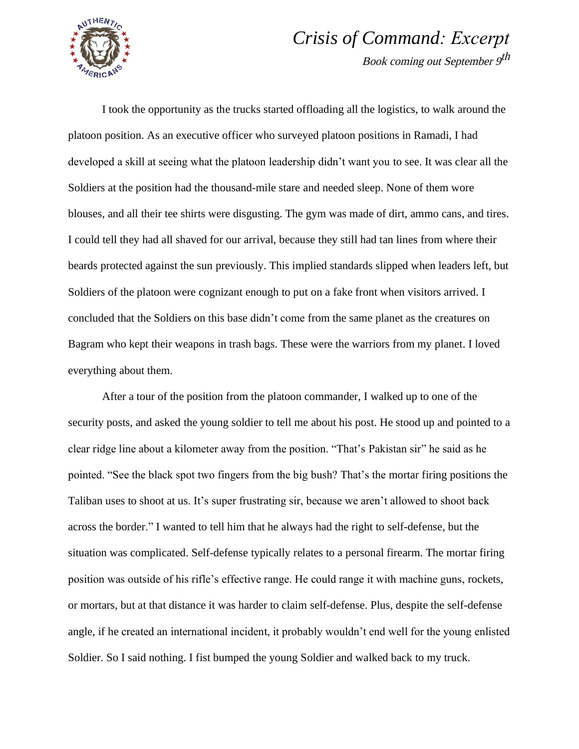

## *Crisis of Command: Excerpt*

Book coming out September 9th

I took the opportunity as the trucks started offloading all the logistics, to walk around the platoon position. As an executive officer who surveyed platoon positions in Ramadi, I had developed a skill at seeing what the platoon leadership didn't want you to see. It was clear all the Soldiers at the position had the thousand-mile stare and needed sleep. None of them wore blouses, and all their tee shirts were disgusting. The gym was made of dirt, ammo cans, and tires. I could tell they had all shaved for our arrival, because they still had tan lines from where their beards protected against the sun previously. This implied standards slipped when leaders left, but Soldiers of the platoon were cognizant enough to put on a fake front when visitors arrived. I concluded that the Soldiers on this base didn't come from the same planet as the creatures on Bagram who kept their weapons in trash bags. These were the warriors from my planet. I loved everything about them.

After a tour of the position from the platoon commander, I walked up to one of the security posts, and asked the young soldier to tell me about his post. He stood up and pointed to a clear ridge line about a kilometer away from the position. "That's Pakistan sir" he said as he pointed. "See the black spot two fingers from the big bush? That's the mortar firing positions the Taliban uses to shoot at us. It's super frustrating sir, because we aren't allowed to shoot back across the border." I wanted to tell him that he always had the right to self-defense, but the situation was complicated. Self-defense typically relates to a personal firearm. The mortar firing position was outside of his rifle's effective range. He could range it with machine guns, rockets, or mortars, but at that distance it was harder to claim self-defense. Plus, despite the self-defense angle, if he created an international incident, it probably wouldn't end well for the young enlisted Soldier. So I said nothing. I fist bumped the young Soldier and walked back to my truck.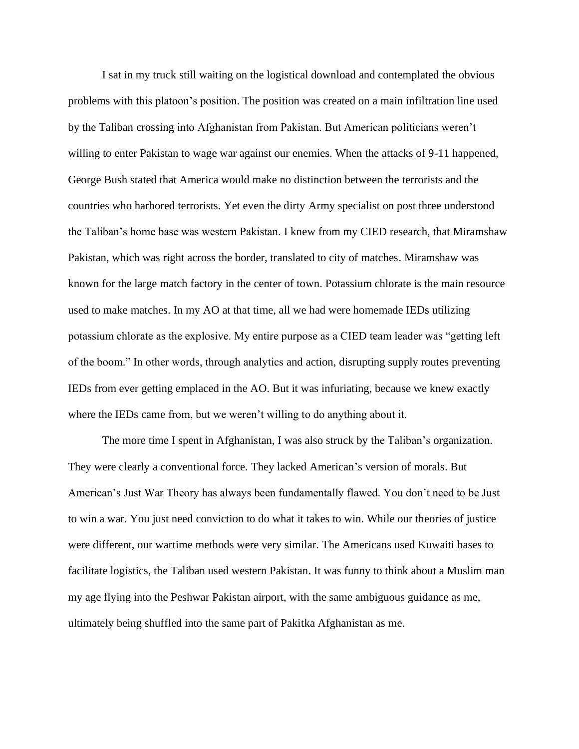I sat in my truck still waiting on the logistical download and contemplated the obvious problems with this platoon's position. The position was created on a main infiltration line used by the Taliban crossing into Afghanistan from Pakistan. But American politicians weren't willing to enter Pakistan to wage war against our enemies. When the attacks of 9-11 happened, George Bush stated that America would make no distinction between the terrorists and the countries who harbored terrorists. Yet even the dirty Army specialist on post three understood the Taliban's home base was western Pakistan. I knew from my CIED research, that Miramshaw Pakistan, which was right across the border, translated to city of matches. Miramshaw was known for the large match factory in the center of town. Potassium chlorate is the main resource used to make matches. In my AO at that time, all we had were homemade IEDs utilizing potassium chlorate as the explosive. My entire purpose as a CIED team leader was "getting left of the boom." In other words, through analytics and action, disrupting supply routes preventing IEDs from ever getting emplaced in the AO. But it was infuriating, because we knew exactly where the IEDs came from, but we weren't willing to do anything about it.

The more time I spent in Afghanistan, I was also struck by the Taliban's organization. They were clearly a conventional force. They lacked American's version of morals. But American's Just War Theory has always been fundamentally flawed. You don't need to be Just to win a war. You just need conviction to do what it takes to win. While our theories of justice were different, our wartime methods were very similar. The Americans used Kuwaiti bases to facilitate logistics, the Taliban used western Pakistan. It was funny to think about a Muslim man my age flying into the Peshwar Pakistan airport, with the same ambiguous guidance as me, ultimately being shuffled into the same part of Pakitka Afghanistan as me.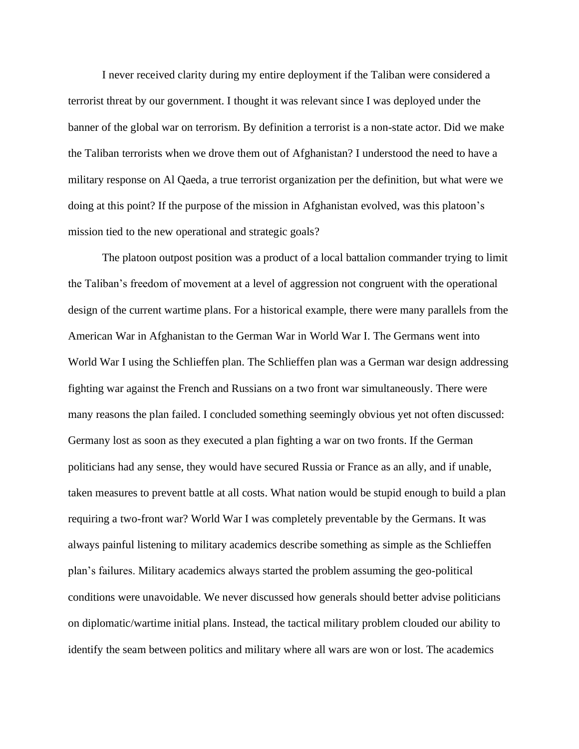I never received clarity during my entire deployment if the Taliban were considered a terrorist threat by our government. I thought it was relevant since I was deployed under the banner of the global war on terrorism. By definition a terrorist is a non-state actor. Did we make the Taliban terrorists when we drove them out of Afghanistan? I understood the need to have a military response on Al Qaeda, a true terrorist organization per the definition, but what were we doing at this point? If the purpose of the mission in Afghanistan evolved, was this platoon's mission tied to the new operational and strategic goals?

The platoon outpost position was a product of a local battalion commander trying to limit the Taliban's freedom of movement at a level of aggression not congruent with the operational design of the current wartime plans. For a historical example, there were many parallels from the American War in Afghanistan to the German War in World War I. The Germans went into World War I using the Schlieffen plan. The Schlieffen plan was a German war design addressing fighting war against the French and Russians on a two front war simultaneously. There were many reasons the plan failed. I concluded something seemingly obvious yet not often discussed: Germany lost as soon as they executed a plan fighting a war on two fronts. If the German politicians had any sense, they would have secured Russia or France as an ally, and if unable, taken measures to prevent battle at all costs. What nation would be stupid enough to build a plan requiring a two-front war? World War I was completely preventable by the Germans. It was always painful listening to military academics describe something as simple as the Schlieffen plan's failures. Military academics always started the problem assuming the geo-political conditions were unavoidable. We never discussed how generals should better advise politicians on diplomatic/wartime initial plans. Instead, the tactical military problem clouded our ability to identify the seam between politics and military where all wars are won or lost. The academics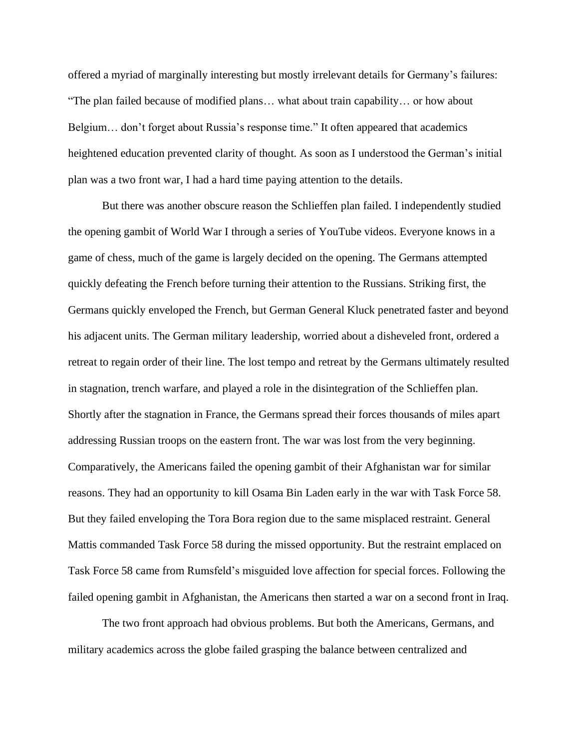offered a myriad of marginally interesting but mostly irrelevant details for Germany's failures: "The plan failed because of modified plans… what about train capability… or how about Belgium… don't forget about Russia's response time." It often appeared that academics heightened education prevented clarity of thought. As soon as I understood the German's initial plan was a two front war, I had a hard time paying attention to the details.

But there was another obscure reason the Schlieffen plan failed. I independently studied the opening gambit of World War I through a series of YouTube videos. Everyone knows in a game of chess, much of the game is largely decided on the opening. The Germans attempted quickly defeating the French before turning their attention to the Russians. Striking first, the Germans quickly enveloped the French, but German General Kluck penetrated faster and beyond his adjacent units. The German military leadership, worried about a disheveled front, ordered a retreat to regain order of their line. The lost tempo and retreat by the Germans ultimately resulted in stagnation, trench warfare, and played a role in the disintegration of the Schlieffen plan. Shortly after the stagnation in France, the Germans spread their forces thousands of miles apart addressing Russian troops on the eastern front. The war was lost from the very beginning. Comparatively, the Americans failed the opening gambit of their Afghanistan war for similar reasons. They had an opportunity to kill Osama Bin Laden early in the war with Task Force 58. But they failed enveloping the Tora Bora region due to the same misplaced restraint. General Mattis commanded Task Force 58 during the missed opportunity. But the restraint emplaced on Task Force 58 came from Rumsfeld's misguided love affection for special forces. Following the failed opening gambit in Afghanistan, the Americans then started a war on a second front in Iraq.

The two front approach had obvious problems. But both the Americans, Germans, and military academics across the globe failed grasping the balance between centralized and